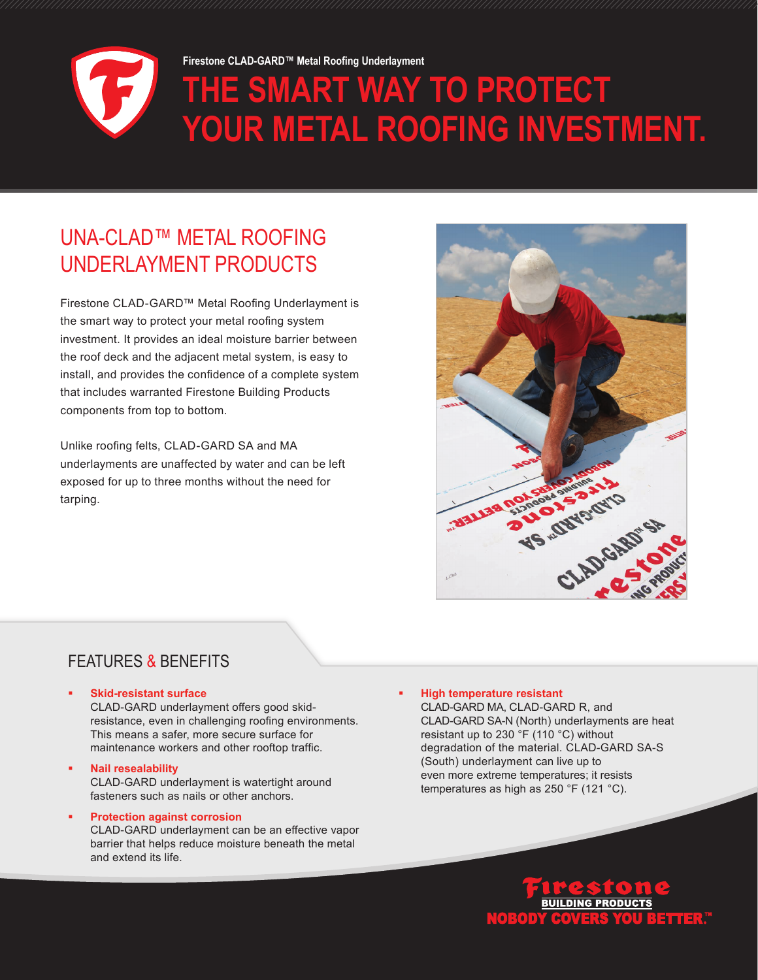

# UNA-CLAD™ METAL ROOFING UNDERLAYMENT PRODUCTS

Firestone CLAD-GARD™ Metal Roofing Underlayment is the smart way to protect your metal roofing system investment. It provides an ideal moisture barrier between the roof deck and the adjacent metal system, is easy to install, and provides the confidence of a complete system that includes warranted Firestone Building Products components from top to bottom.

Unlike roofing felts, CLAD-GARD SA and MA underlayments are unaffected by water and can be left exposed for up to three months without the need for tarping.



### FEATURES & BENEFITS

### **Skid-resistant surface**

CLAD-GARD underlayment offers good skidresistance, even in challenging roofing environments. This means a safer, more secure surface for maintenance workers and other rooftop traffic.

- **Nail resealability** CLAD-GARD underlayment is watertight around fasteners such as nails or other anchors.
- **Protection against corrosion** CLAD-GARD underlayment can be an effective vapor barrier that helps reduce moisture beneath the metal and extend its life.

### **High temperature resistant**

CLAD-GARD MA, CLAD-GARD R, and CLAD-GARD SA-N (North) underlayments are heat resistant up to 230 °F (110 °C) without degradation of the material. CLAD-GARD SA-S (South) underlayment can live up to even more extreme temperatures; it resists temperatures as high as 250 °F (121 °C).